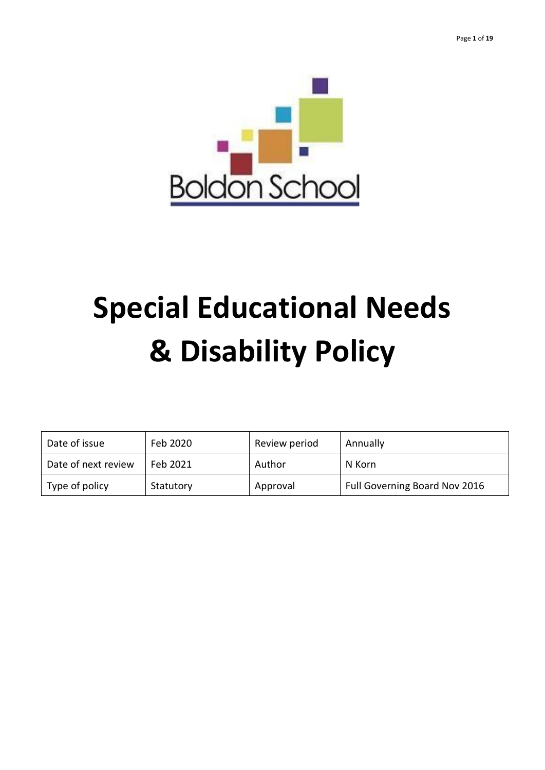

# **Special Educational Needs & Disability Policy**

| Date of issue       | Feb 2020  | Review period | Annually                      |
|---------------------|-----------|---------------|-------------------------------|
| Date of next review | Feb 2021  | Author        | N Korn                        |
| Type of policy      | Statutory | Approval      | Full Governing Board Nov 2016 |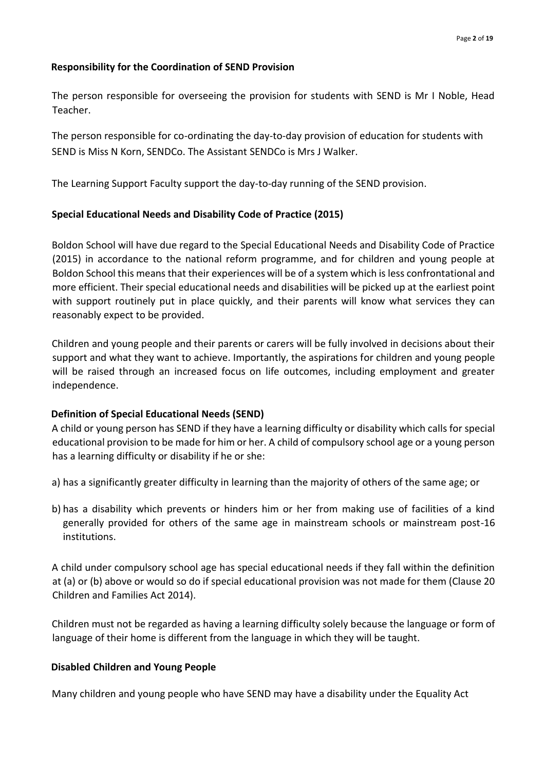#### **Responsibility for the Coordination of SEND Provision**

The person responsible for overseeing the provision for students with SEND is Mr I Noble, Head Teacher.

The person responsible for co-ordinating the day-to-day provision of education for students with SEND is Miss N Korn, SENDCo. The Assistant SENDCo is Mrs J Walker.

The Learning Support Faculty support the day-to-day running of the SEND provision.

#### **Special Educational Needs and Disability Code of Practice (2015)**

Boldon School will have due regard to the Special Educational Needs and Disability Code of Practice (2015) in accordance to the national reform programme, and for children and young people at Boldon School this means that their experiences will be of a system which is less confrontational and more efficient. Their special educational needs and disabilities will be picked up at the earliest point with support routinely put in place quickly, and their parents will know what services they can reasonably expect to be provided.

Children and young people and their parents or carers will be fully involved in decisions about their support and what they want to achieve. Importantly, the aspirations for children and young people will be raised through an increased focus on life outcomes, including employment and greater independence.

#### **Definition of Special Educational Needs (SEND)**

A child or young person has SEND if they have a learning difficulty or disability which calls for special educational provision to be made for him or her. A child of compulsory school age or a young person has a learning difficulty or disability if he or she:

- a) has a significantly greater difficulty in learning than the majority of others of the same age; or
- b) has a disability which prevents or hinders him or her from making use of facilities of a kind generally provided for others of the same age in mainstream schools or mainstream post-16 institutions.

A child under compulsory school age has special educational needs if they fall within the definition at (a) or (b) above or would so do if special educational provision was not made for them (Clause 20 Children and Families Act 2014).

Children must not be regarded as having a learning difficulty solely because the language or form of language of their home is different from the language in which they will be taught.

#### **Disabled Children and Young People**

Many children and young people who have SEND may have a disability under the Equality Act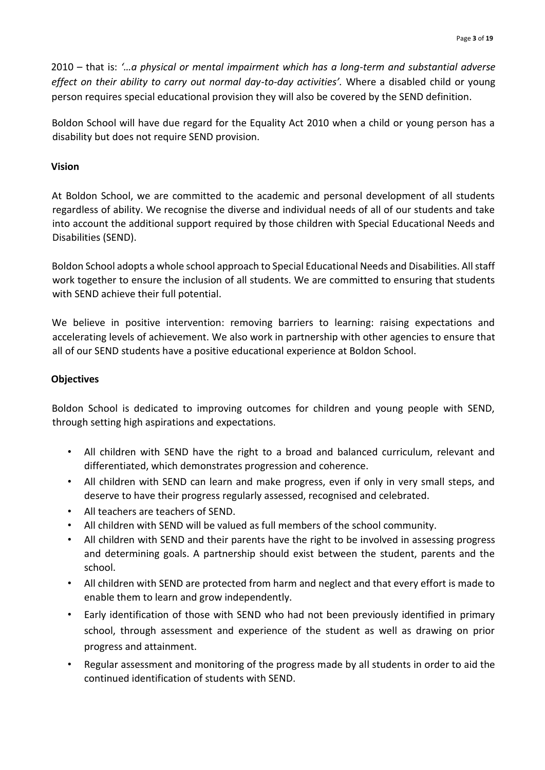2010 – that is: *'…a physical or mental impairment which has a long-term and substantial adverse effect on their ability to carry out normal day-to-day activities'.* Where a disabled child or young person requires special educational provision they will also be covered by the SEND definition.

Boldon School will have due regard for the Equality Act 2010 when a child or young person has a disability but does not require SEND provision.

#### **Vision**

At Boldon School, we are committed to the academic and personal development of all students regardless of ability. We recognise the diverse and individual needs of all of our students and take into account the additional support required by those children with Special Educational Needs and Disabilities (SEND).

Boldon School adopts a whole school approach to Special Educational Needs and Disabilities. All staff work together to ensure the inclusion of all students. We are committed to ensuring that students with SEND achieve their full potential.

We believe in positive intervention: removing barriers to learning: raising expectations and accelerating levels of achievement. We also work in partnership with other agencies to ensure that all of our SEND students have a positive educational experience at Boldon School.

#### **Objectives**

Boldon School is dedicated to improving outcomes for children and young people with SEND, through setting high aspirations and expectations.

- All children with SEND have the right to a broad and balanced curriculum, relevant and differentiated, which demonstrates progression and coherence.
- All children with SEND can learn and make progress, even if only in very small steps, and deserve to have their progress regularly assessed, recognised and celebrated.
- All teachers are teachers of SEND.
- All children with SEND will be valued as full members of the school community.
- All children with SEND and their parents have the right to be involved in assessing progress and determining goals. A partnership should exist between the student, parents and the school.
- All children with SEND are protected from harm and neglect and that every effort is made to enable them to learn and grow independently.
- Early identification of those with SEND who had not been previously identified in primary school, through assessment and experience of the student as well as drawing on prior progress and attainment.
- Regular assessment and monitoring of the progress made by all students in order to aid the continued identification of students with SEND.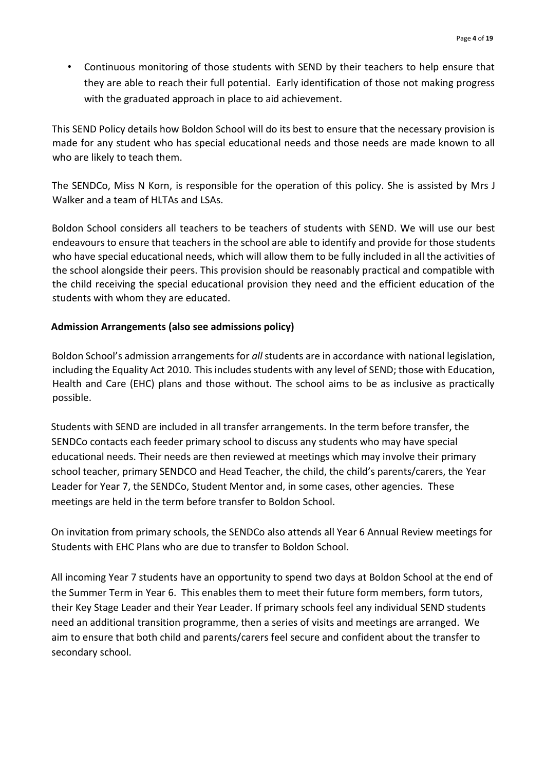• Continuous monitoring of those students with SEND by their teachers to help ensure that they are able to reach their full potential. Early identification of those not making progress with the graduated approach in place to aid achievement.

This SEND Policy details how Boldon School will do its best to ensure that the necessary provision is made for any student who has special educational needs and those needs are made known to all who are likely to teach them.

The SENDCo, Miss N Korn, is responsible for the operation of this policy. She is assisted by Mrs J Walker and a team of HLTAs and LSAs.

Boldon School considers all teachers to be teachers of students with SEND. We will use our best endeavours to ensure that teachers in the school are able to identify and provide for those students who have special educational needs, which will allow them to be fully included in all the activities of the school alongside their peers. This provision should be reasonably practical and compatible with the child receiving the special educational provision they need and the efficient education of the students with whom they are educated.

#### **Admission Arrangements (also see admissions policy)**

Boldon School's admission arrangements for *all* students are in accordance with national legislation, including the Equality Act 2010*.* This includes students with any level of SEND; those with Education, Health and Care (EHC) plans and those without. The school aims to be as inclusive as practically possible.

Students with SEND are included in all transfer arrangements. In the term before transfer, the SENDCo contacts each feeder primary school to discuss any students who may have special educational needs. Their needs are then reviewed at meetings which may involve their primary school teacher, primary SENDCO and Head Teacher, the child, the child's parents/carers, the Year Leader for Year 7, the SENDCo, Student Mentor and, in some cases, other agencies. These meetings are held in the term before transfer to Boldon School.

On invitation from primary schools, the SENDCo also attends all Year 6 Annual Review meetings for Students with EHC Plans who are due to transfer to Boldon School.

All incoming Year 7 students have an opportunity to spend two days at Boldon School at the end of the Summer Term in Year 6. This enables them to meet their future form members, form tutors, their Key Stage Leader and their Year Leader. If primary schools feel any individual SEND students need an additional transition programme, then a series of visits and meetings are arranged. We aim to ensure that both child and parents/carers feel secure and confident about the transfer to secondary school.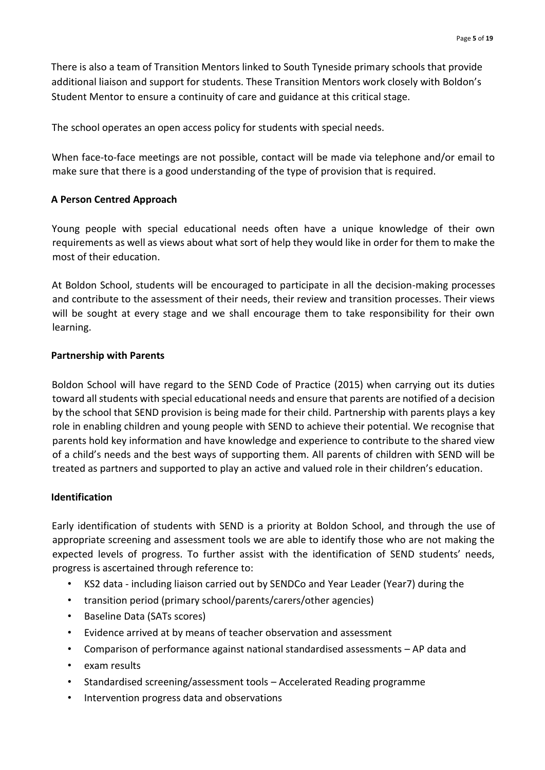There is also a team of Transition Mentors linked to South Tyneside primary schools that provide additional liaison and support for students. These Transition Mentors work closely with Boldon's Student Mentor to ensure a continuity of care and guidance at this critical stage.

The school operates an open access policy for students with special needs.

When face-to-face meetings are not possible, contact will be made via telephone and/or email to make sure that there is a good understanding of the type of provision that is required.

#### **A Person Centred Approach**

Young people with special educational needs often have a unique knowledge of their own requirements as well as views about what sort of help they would like in order for them to make the most of their education.

At Boldon School, students will be encouraged to participate in all the decision-making processes and contribute to the assessment of their needs, their review and transition processes. Their views will be sought at every stage and we shall encourage them to take responsibility for their own learning.

#### **Partnership with Parents**

Boldon School will have regard to the SEND Code of Practice (2015) when carrying out its duties toward all students with special educational needs and ensure that parents are notified of a decision by the school that SEND provision is being made for their child. Partnership with parents plays a key role in enabling children and young people with SEND to achieve their potential. We recognise that parents hold key information and have knowledge and experience to contribute to the shared view of a child's needs and the best ways of supporting them. All parents of children with SEND will be treated as partners and supported to play an active and valued role in their children's education.

#### **Identification**

Early identification of students with SEND is a priority at Boldon School, and through the use of appropriate screening and assessment tools we are able to identify those who are not making the expected levels of progress. To further assist with the identification of SEND students' needs, progress is ascertained through reference to:

- KS2 data including liaison carried out by SENDCo and Year Leader (Year7) during the
- transition period (primary school/parents/carers/other agencies)
- Baseline Data (SATs scores)
- Evidence arrived at by means of teacher observation and assessment
- Comparison of performance against national standardised assessments AP data and
- exam results
- Standardised screening/assessment tools Accelerated Reading programme
- Intervention progress data and observations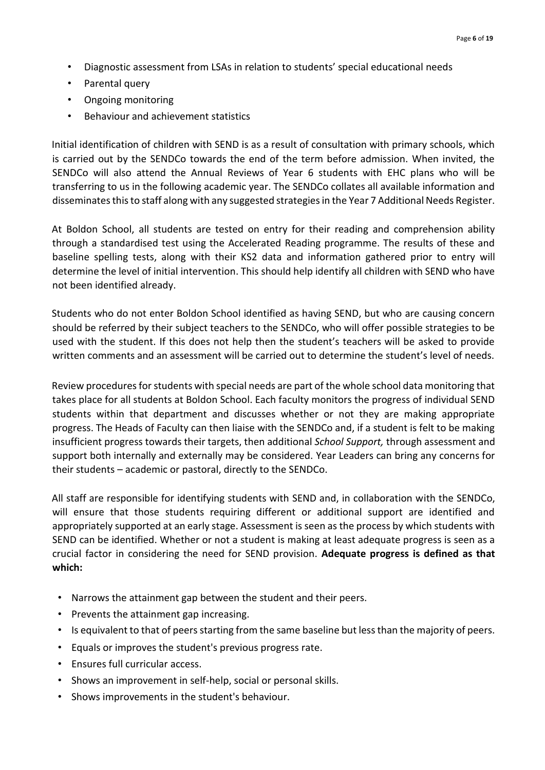- Diagnostic assessment from LSAs in relation to students' special educational needs
- Parental query
- Ongoing monitoring
- Behaviour and achievement statistics

Initial identification of children with SEND is as a result of consultation with primary schools, which is carried out by the SENDCo towards the end of the term before admission. When invited, the SENDCo will also attend the Annual Reviews of Year 6 students with EHC plans who will be transferring to us in the following academic year. The SENDCo collates all available information and disseminates this to staff along with any suggested strategies in the Year 7 Additional Needs Register.

At Boldon School, all students are tested on entry for their reading and comprehension ability through a standardised test using the Accelerated Reading programme. The results of these and baseline spelling tests, along with their KS2 data and information gathered prior to entry will determine the level of initial intervention. This should help identify all children with SEND who have not been identified already.

Students who do not enter Boldon School identified as having SEND, but who are causing concern should be referred by their subject teachers to the SENDCo, who will offer possible strategies to be used with the student. If this does not help then the student's teachers will be asked to provide written comments and an assessment will be carried out to determine the student's level of needs.

Review procedures for students with special needs are part of the whole school data monitoring that takes place for all students at Boldon School. Each faculty monitors the progress of individual SEND students within that department and discusses whether or not they are making appropriate progress. The Heads of Faculty can then liaise with the SENDCo and, if a student is felt to be making insufficient progress towards their targets, then additional *School Support,* through assessment and support both internally and externally may be considered. Year Leaders can bring any concerns for their students – academic or pastoral, directly to the SENDCo.

All staff are responsible for identifying students with SEND and, in collaboration with the SENDCo, will ensure that those students requiring different or additional support are identified and appropriately supported at an early stage. Assessment is seen as the process by which students with SEND can be identified. Whether or not a student is making at least adequate progress is seen as a crucial factor in considering the need for SEND provision. **Adequate progress is defined as that which:** 

- Narrows the attainment gap between the student and their peers.
- Prevents the attainment gap increasing.
- Is equivalent to that of peers starting from the same baseline but less than the majority of peers.
- Equals or improves the student's previous progress rate.
- Ensures full curricular access.
- Shows an improvement in self-help, social or personal skills.
- Shows improvements in the student's behaviour.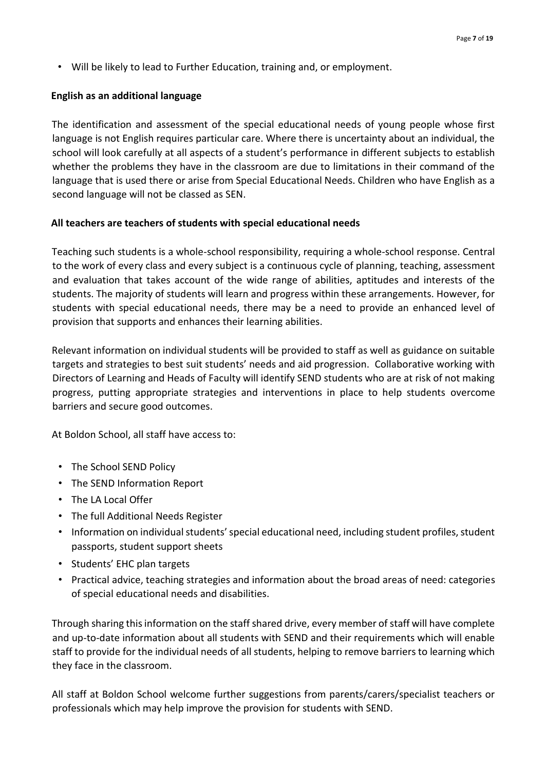• Will be likely to lead to Further Education, training and, or employment.

#### **English as an additional language**

The identification and assessment of the special educational needs of young people whose first language is not English requires particular care. Where there is uncertainty about an individual, the school will look carefully at all aspects of a student's performance in different subjects to establish whether the problems they have in the classroom are due to limitations in their command of the language that is used there or arise from Special Educational Needs. Children who have English as a second language will not be classed as SEN.

#### **All teachers are teachers of students with special educational needs**

Teaching such students is a whole-school responsibility, requiring a whole-school response. Central to the work of every class and every subject is a continuous cycle of planning, teaching, assessment and evaluation that takes account of the wide range of abilities, aptitudes and interests of the students. The majority of students will learn and progress within these arrangements. However, for students with special educational needs, there may be a need to provide an enhanced level of provision that supports and enhances their learning abilities.

Relevant information on individual students will be provided to staff as well as guidance on suitable targets and strategies to best suit students' needs and aid progression. Collaborative working with Directors of Learning and Heads of Faculty will identify SEND students who are at risk of not making progress, putting appropriate strategies and interventions in place to help students overcome barriers and secure good outcomes.

At Boldon School, all staff have access to:

- The School SEND Policy
- The SEND Information Report
- The LA Local Offer
- The full Additional Needs Register
- Information on individual students' special educational need, including student profiles, student passports, student support sheets
- Students' EHC plan targets
- Practical advice, teaching strategies and information about the broad areas of need: categories of special educational needs and disabilities.

Through sharing this information on the staff shared drive, every member of staff will have complete and up-to-date information about all students with SEND and their requirements which will enable staff to provide for the individual needs of all students, helping to remove barriers to learning which they face in the classroom.

All staff at Boldon School welcome further suggestions from parents/carers/specialist teachers or professionals which may help improve the provision for students with SEND.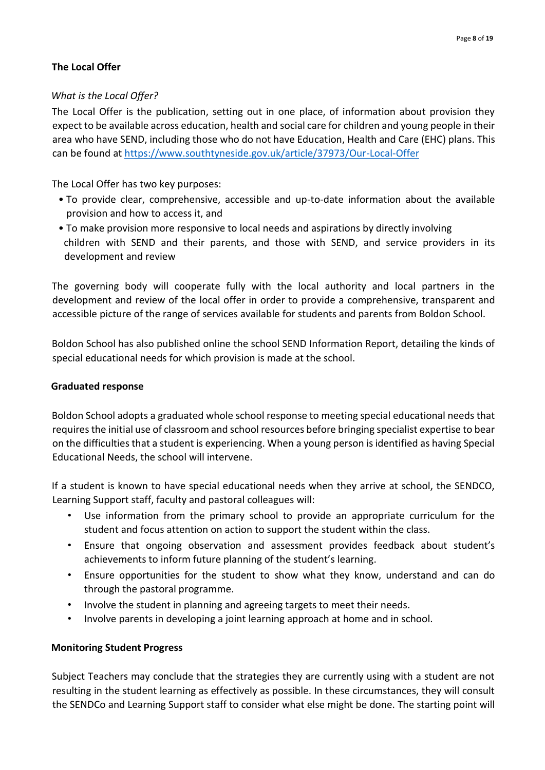### **The Local Offer**

#### *What is the Local Offer?*

The Local Offer is the publication, setting out in one place, of information about provision they expect to be available across education, health and social care for children and young people in their area who have SEND, including those who do not have Education, Health and Care (EHC) plans. This can be found at<https://www.southtyneside.gov.uk/article/37973/Our-Local-Offer>

The Local Offer has two key purposes:

- To provide clear, comprehensive, accessible and up-to-date information about the available provision and how to access it, and
- To make provision more responsive to local needs and aspirations by directly involving children with SEND and their parents, and those with SEND, and service providers in its development and review

The governing body will cooperate fully with the local authority and local partners in the development and review of the local offer in order to provide a comprehensive, transparent and accessible picture of the range of services available for students and parents from Boldon School.

Boldon School has also published online the school SEND Information Report, detailing the kinds of special educational needs for which provision is made at the school.

#### **Graduated response**

Boldon School adopts a graduated whole school response to meeting special educational needs that requires the initial use of classroom and school resources before bringing specialist expertise to bear on the difficulties that a student is experiencing. When a young person is identified as having Special Educational Needs, the school will intervene.

If a student is known to have special educational needs when they arrive at school, the SENDCO, Learning Support staff, faculty and pastoral colleagues will:

- Use information from the primary school to provide an appropriate curriculum for the student and focus attention on action to support the student within the class.
- Ensure that ongoing observation and assessment provides feedback about student's achievements to inform future planning of the student's learning.
- Ensure opportunities for the student to show what they know, understand and can do through the pastoral programme.
- Involve the student in planning and agreeing targets to meet their needs.
- Involve parents in developing a joint learning approach at home and in school.

#### **Monitoring Student Progress**

Subject Teachers may conclude that the strategies they are currently using with a student are not resulting in the student learning as effectively as possible. In these circumstances, they will consult the SENDCo and Learning Support staff to consider what else might be done. The starting point will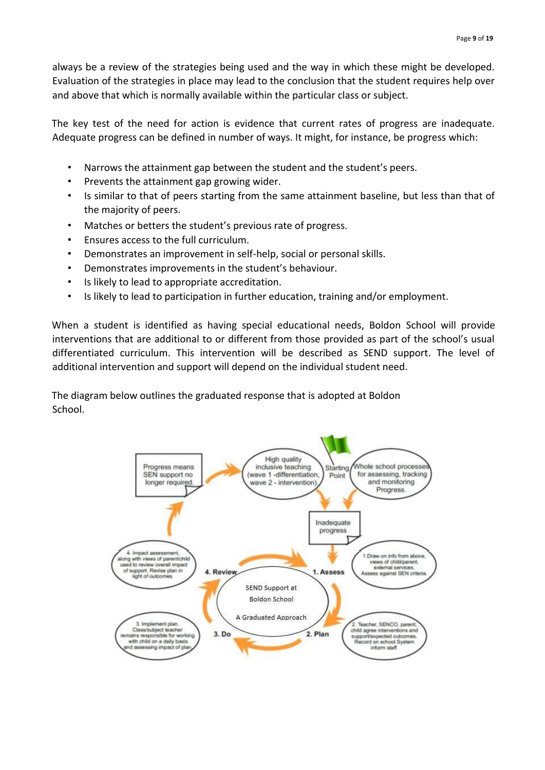always be a review of the strategies being used and the way in which these might be developed. Evaluation of the strategies in place may lead to the conclusion that the student requires help over and above that which is normally available within the particular class or subject.

The key test of the need for action is evidence that current rates of progress are inadequate. Adequate progress can be defined in number of ways. It might, for instance, be progress which:

- Narrows the attainment gap between the student and the student's peers.
- Prevents the attainment gap growing wider.
- Is similar to that of peers starting from the same attainment baseline, but less than that of the majority of peers.
- Matches or betters the student's previous rate of progress.
- Ensures access to the full curriculum.
- Demonstrates an improvement in self-help, social or personal skills.
- Demonstrates improvements in the student's behaviour.
- Is likely to lead to appropriate accreditation.
- Is likely to lead to participation in further education, training and/or employment.

When a student is identified as having special educational needs, Boldon School will provide interventions that are additional to or different from those provided as part of the school's usual differentiated curriculum. This intervention will be described as SEND support. The level of additional intervention and support will depend on the individual student need.

The diagram below outlines the graduated response that is adopted at Boldon School.

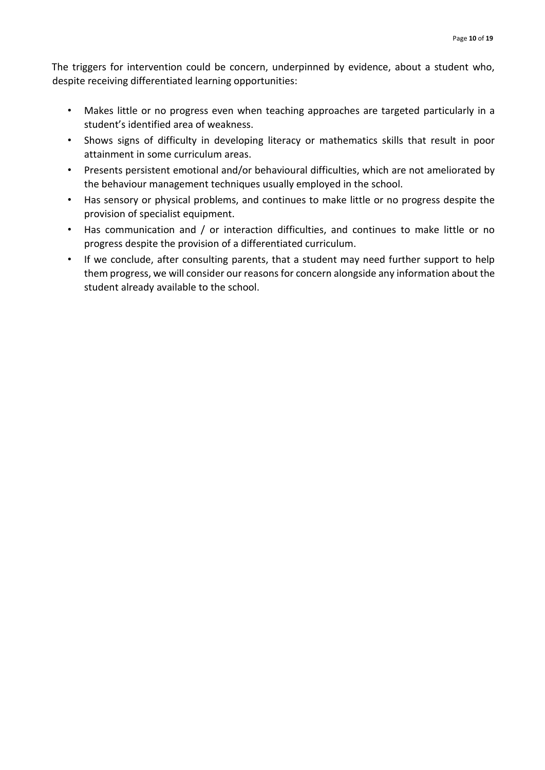The triggers for intervention could be concern, underpinned by evidence, about a student who, despite receiving differentiated learning opportunities:

- Makes little or no progress even when teaching approaches are targeted particularly in a student's identified area of weakness.
- Shows signs of difficulty in developing literacy or mathematics skills that result in poor attainment in some curriculum areas.
- Presents persistent emotional and/or behavioural difficulties, which are not ameliorated by the behaviour management techniques usually employed in the school.
- Has sensory or physical problems, and continues to make little or no progress despite the provision of specialist equipment.
- Has communication and / or interaction difficulties, and continues to make little or no progress despite the provision of a differentiated curriculum.
- If we conclude, after consulting parents, that a student may need further support to help them progress, we will consider our reasons for concern alongside any information about the student already available to the school.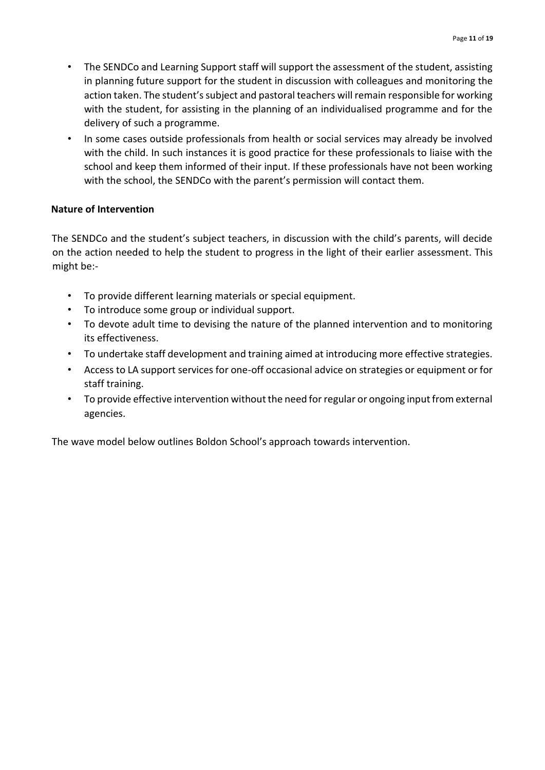- The SENDCo and Learning Support staff will support the assessment of the student, assisting in planning future support for the student in discussion with colleagues and monitoring the action taken. The student's subject and pastoral teachers will remain responsible for working with the student, for assisting in the planning of an individualised programme and for the delivery of such a programme.
- In some cases outside professionals from health or social services may already be involved with the child. In such instances it is good practice for these professionals to liaise with the school and keep them informed of their input. If these professionals have not been working with the school, the SENDCo with the parent's permission will contact them.

#### **Nature of Intervention**

The SENDCo and the student's subject teachers, in discussion with the child's parents, will decide on the action needed to help the student to progress in the light of their earlier assessment. This might be:-

- To provide different learning materials or special equipment.
- To introduce some group or individual support.
- To devote adult time to devising the nature of the planned intervention and to monitoring its effectiveness.
- To undertake staff development and training aimed at introducing more effective strategies.
- Access to LA support services for one-off occasional advice on strategies or equipment or for staff training.
- To provide effective intervention without the need for regular or ongoing input from external agencies.

The wave model below outlines Boldon School's approach towards intervention.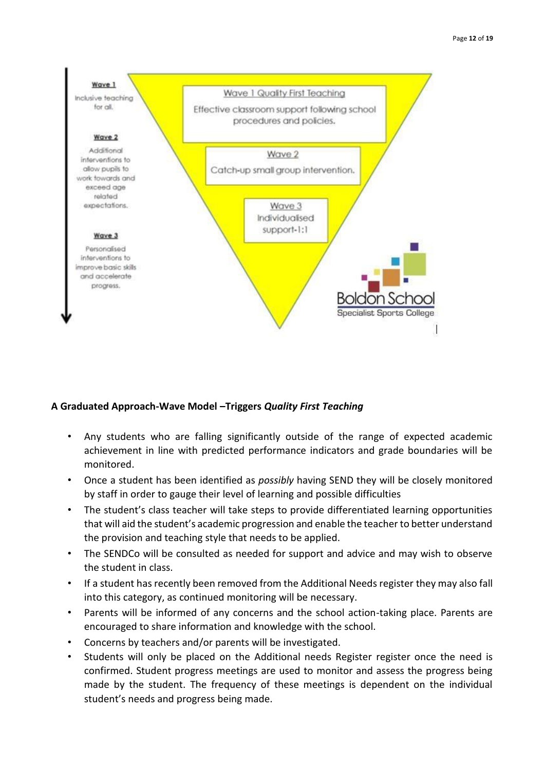

#### **A Graduated Approach-Wave Model –Triggers** *Quality First Teaching*

- Any students who are falling significantly outside of the range of expected academic achievement in line with predicted performance indicators and grade boundaries will be monitored.
- Once a student has been identified as *possibly* having SEND they will be closely monitored by staff in order to gauge their level of learning and possible difficulties
- The student's class teacher will take steps to provide differentiated learning opportunities that will aid the student's academic progression and enable the teacher to better understand the provision and teaching style that needs to be applied.
- The SENDCo will be consulted as needed for support and advice and may wish to observe the student in class.
- If a student has recently been removed from the Additional Needs register they may also fall into this category, as continued monitoring will be necessary.
- Parents will be informed of any concerns and the school action-taking place. Parents are encouraged to share information and knowledge with the school.
- Concerns by teachers and/or parents will be investigated.
- Students will only be placed on the Additional needs Register register once the need is confirmed. Student progress meetings are used to monitor and assess the progress being made by the student. The frequency of these meetings is dependent on the individual student's needs and progress being made.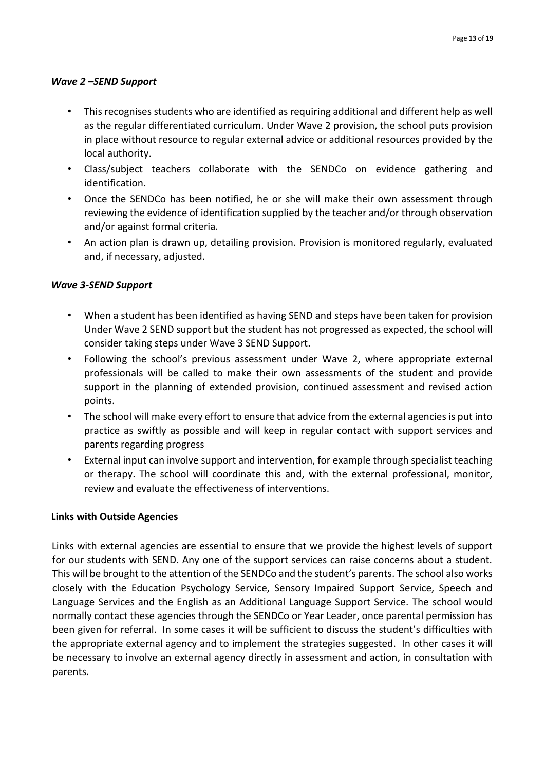#### *Wave 2 –SEND Support*

- This recognises students who are identified as requiring additional and different help as well as the regular differentiated curriculum. Under Wave 2 provision, the school puts provision in place without resource to regular external advice or additional resources provided by the local authority.
- Class/subject teachers collaborate with the SENDCo on evidence gathering and identification.
- Once the SENDCo has been notified, he or she will make their own assessment through reviewing the evidence of identification supplied by the teacher and/or through observation and/or against formal criteria.
- An action plan is drawn up, detailing provision. Provision is monitored regularly, evaluated and, if necessary, adjusted.

#### *Wave 3-SEND Support*

- When a student has been identified as having SEND and steps have been taken for provision Under Wave 2 SEND support but the student has not progressed as expected, the school will consider taking steps under Wave 3 SEND Support.
- Following the school's previous assessment under Wave 2, where appropriate external professionals will be called to make their own assessments of the student and provide support in the planning of extended provision, continued assessment and revised action points.
- The school will make every effort to ensure that advice from the external agencies is put into practice as swiftly as possible and will keep in regular contact with support services and parents regarding progress
- External input can involve support and intervention, for example through specialist teaching or therapy. The school will coordinate this and, with the external professional, monitor, review and evaluate the effectiveness of interventions.

#### **Links with Outside Agencies**

Links with external agencies are essential to ensure that we provide the highest levels of support for our students with SEND. Any one of the support services can raise concerns about a student. This will be brought to the attention of the SENDCo and the student's parents. The school also works closely with the Education Psychology Service, Sensory Impaired Support Service, Speech and Language Services and the English as an Additional Language Support Service. The school would normally contact these agencies through the SENDCo or Year Leader, once parental permission has been given for referral. In some cases it will be sufficient to discuss the student's difficulties with the appropriate external agency and to implement the strategies suggested. In other cases it will be necessary to involve an external agency directly in assessment and action, in consultation with parents.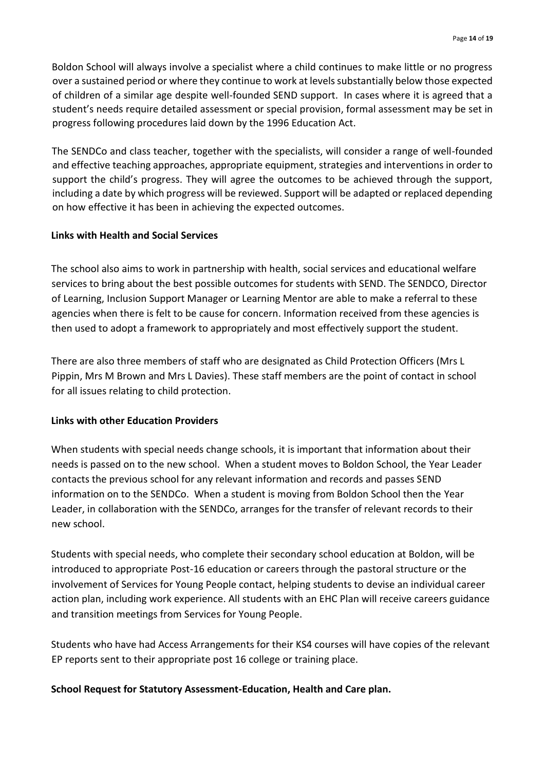Boldon School will always involve a specialist where a child continues to make little or no progress over a sustained period or where they continue to work at levels substantially below those expected of children of a similar age despite well-founded SEND support. In cases where it is agreed that a student's needs require detailed assessment or special provision, formal assessment may be set in progress following procedures laid down by the 1996 Education Act.

The SENDCo and class teacher, together with the specialists, will consider a range of well-founded and effective teaching approaches, appropriate equipment, strategies and interventions in order to support the child's progress. They will agree the outcomes to be achieved through the support, including a date by which progress will be reviewed. Support will be adapted or replaced depending on how effective it has been in achieving the expected outcomes.

#### **Links with Health and Social Services**

The school also aims to work in partnership with health, social services and educational welfare services to bring about the best possible outcomes for students with SEND. The SENDCO, Director of Learning, Inclusion Support Manager or Learning Mentor are able to make a referral to these agencies when there is felt to be cause for concern. Information received from these agencies is then used to adopt a framework to appropriately and most effectively support the student.

There are also three members of staff who are designated as Child Protection Officers (Mrs L Pippin, Mrs M Brown and Mrs L Davies). These staff members are the point of contact in school for all issues relating to child protection.

#### **Links with other Education Providers**

When students with special needs change schools, it is important that information about their needs is passed on to the new school. When a student moves to Boldon School, the Year Leader contacts the previous school for any relevant information and records and passes SEND information on to the SENDCo. When a student is moving from Boldon School then the Year Leader, in collaboration with the SENDCo, arranges for the transfer of relevant records to their new school.

Students with special needs, who complete their secondary school education at Boldon, will be introduced to appropriate Post-16 education or careers through the pastoral structure or the involvement of Services for Young People contact, helping students to devise an individual career action plan, including work experience. All students with an EHC Plan will receive careers guidance and transition meetings from Services for Young People.

Students who have had Access Arrangements for their KS4 courses will have copies of the relevant EP reports sent to their appropriate post 16 college or training place.

#### **School Request for Statutory Assessment-Education, Health and Care plan.**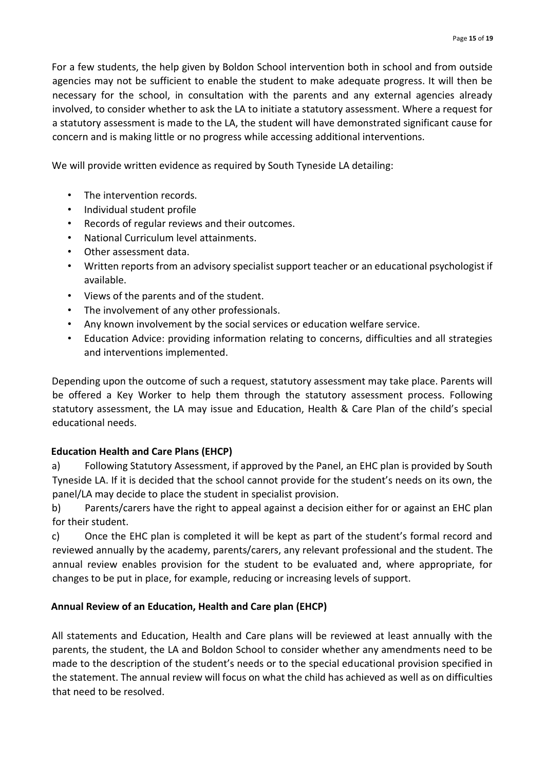For a few students, the help given by Boldon School intervention both in school and from outside agencies may not be sufficient to enable the student to make adequate progress. It will then be necessary for the school, in consultation with the parents and any external agencies already involved, to consider whether to ask the LA to initiate a statutory assessment. Where a request for a statutory assessment is made to the LA, the student will have demonstrated significant cause for concern and is making little or no progress while accessing additional interventions.

We will provide written evidence as required by South Tyneside LA detailing:

- The intervention records.
- Individual student profile
- Records of regular reviews and their outcomes.
- National Curriculum level attainments.
- Other assessment data.
- Written reports from an advisory specialist support teacher or an educational psychologist if available.
- Views of the parents and of the student.
- The involvement of any other professionals.
- Any known involvement by the social services or education welfare service.
- Education Advice: providing information relating to concerns, difficulties and all strategies and interventions implemented.

Depending upon the outcome of such a request, statutory assessment may take place. Parents will be offered a Key Worker to help them through the statutory assessment process. Following statutory assessment, the LA may issue and Education, Health & Care Plan of the child's special educational needs.

## **Education Health and Care Plans (EHCP)**

a) Following Statutory Assessment, if approved by the Panel, an EHC plan is provided by South Tyneside LA. If it is decided that the school cannot provide for the student's needs on its own, the panel/LA may decide to place the student in specialist provision.

b) Parents/carers have the right to appeal against a decision either for or against an EHC plan for their student.

c) Once the EHC plan is completed it will be kept as part of the student's formal record and reviewed annually by the academy, parents/carers, any relevant professional and the student. The annual review enables provision for the student to be evaluated and, where appropriate, for changes to be put in place, for example, reducing or increasing levels of support.

## **Annual Review of an Education, Health and Care plan (EHCP)**

All statements and Education, Health and Care plans will be reviewed at least annually with the parents, the student, the LA and Boldon School to consider whether any amendments need to be made to the description of the student's needs or to the special educational provision specified in the statement. The annual review will focus on what the child has achieved as well as on difficulties that need to be resolved.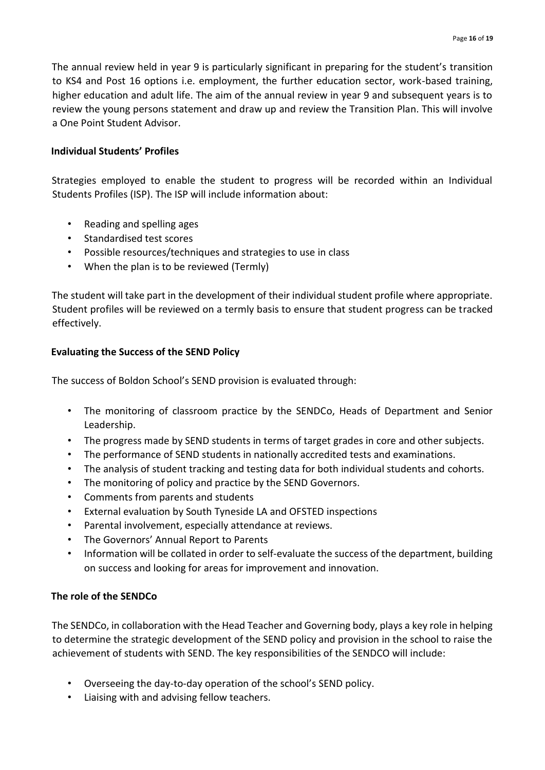The annual review held in year 9 is particularly significant in preparing for the student's transition to KS4 and Post 16 options i.e. employment, the further education sector, work-based training, higher education and adult life. The aim of the annual review in year 9 and subsequent years is to review the young persons statement and draw up and review the Transition Plan. This will involve a One Point Student Advisor.

#### **Individual Students' Profiles**

Strategies employed to enable the student to progress will be recorded within an Individual Students Profiles (ISP). The ISP will include information about:

- Reading and spelling ages
- Standardised test scores
- Possible resources/techniques and strategies to use in class
- When the plan is to be reviewed (Termly)

The student will take part in the development of their individual student profile where appropriate. Student profiles will be reviewed on a termly basis to ensure that student progress can be tracked effectively.

#### **Evaluating the Success of the SEND Policy**

The success of Boldon School's SEND provision is evaluated through:

- The monitoring of classroom practice by the SENDCo, Heads of Department and Senior Leadership.
- The progress made by SEND students in terms of target grades in core and other subjects.
- The performance of SEND students in nationally accredited tests and examinations.
- The analysis of student tracking and testing data for both individual students and cohorts.
- The monitoring of policy and practice by the SEND Governors.
- Comments from parents and students
- External evaluation by South Tyneside LA and OFSTED inspections
- Parental involvement, especially attendance at reviews.
- The Governors' Annual Report to Parents
- Information will be collated in order to self-evaluate the success of the department, building on success and looking for areas for improvement and innovation.

#### **The role of the SENDCo**

The SENDCo, in collaboration with the Head Teacher and Governing body, plays a key role in helping to determine the strategic development of the SEND policy and provision in the school to raise the achievement of students with SEND. The key responsibilities of the SENDCO will include:

- Overseeing the day-to-day operation of the school's SEND policy.
- Liaising with and advising fellow teachers.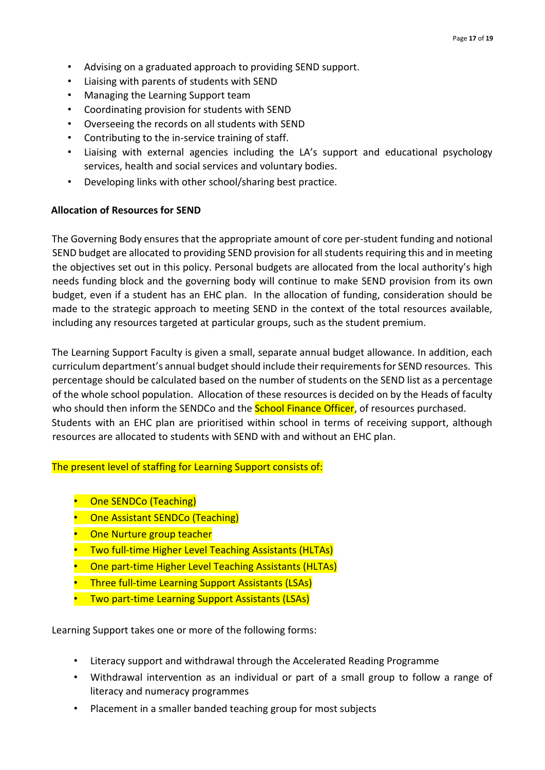- Advising on a graduated approach to providing SEND support.
- Liaising with parents of students with SEND
- Managing the Learning Support team
- Coordinating provision for students with SEND
- Overseeing the records on all students with SEND
- Contributing to the in-service training of staff.
- Liaising with external agencies including the LA's support and educational psychology services, health and social services and voluntary bodies.
- Developing links with other school/sharing best practice.

#### **Allocation of Resources for SEND**

The Governing Body ensures that the appropriate amount of core per-student funding and notional SEND budget are allocated to providing SEND provision for all students requiring this and in meeting the objectives set out in this policy. Personal budgets are allocated from the local authority's high needs funding block and the governing body will continue to make SEND provision from its own budget, even if a student has an EHC plan. In the allocation of funding, consideration should be made to the strategic approach to meeting SEND in the context of the total resources available, including any resources targeted at particular groups, such as the student premium.

The Learning Support Faculty is given a small, separate annual budget allowance. In addition, each curriculum department's annual budget should include their requirements for SEND resources. This percentage should be calculated based on the number of students on the SEND list as a percentage of the whole school population. Allocation of these resources is decided on by the Heads of faculty who should then inform the SENDCo and the **School Finance Officer**, of resources purchased. Students with an EHC plan are prioritised within school in terms of receiving support, although resources are allocated to students with SEND with and without an EHC plan.

The present level of staffing for Learning Support consists of:

- One SENDCo (Teaching)
- One Assistant SENDCo (Teaching)
- One Nurture group teacher
- Two full-time Higher Level Teaching Assistants (HLTAs)
- One part-time Higher Level Teaching Assistants (HLTAs)
- Three full-time Learning Support Assistants (LSAs)
- Two part-time Learning Support Assistants (LSAs)

Learning Support takes one or more of the following forms:

- Literacy support and withdrawal through the Accelerated Reading Programme
- Withdrawal intervention as an individual or part of a small group to follow a range of literacy and numeracy programmes
- Placement in a smaller banded teaching group for most subjects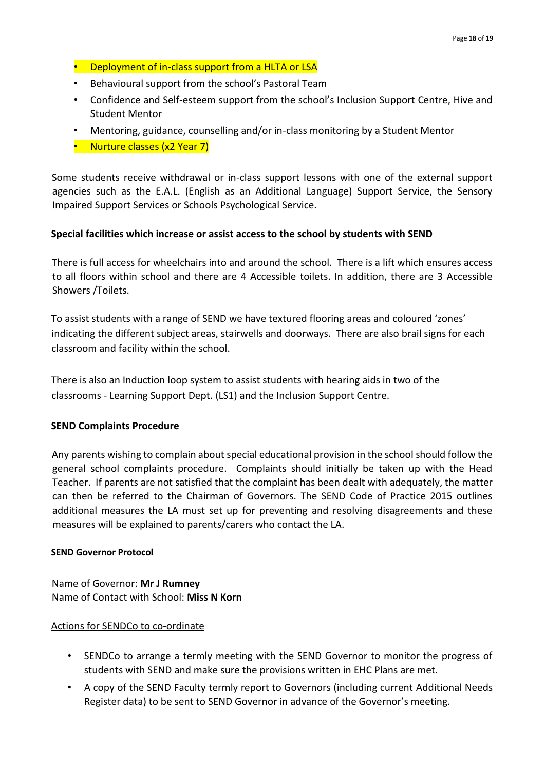- Deployment of in-class support from a HLTA or LSA
- Behavioural support from the school's Pastoral Team
- Confidence and Self-esteem support from the school's Inclusion Support Centre, Hive and Student Mentor
- Mentoring, guidance, counselling and/or in-class monitoring by a Student Mentor
- Nurture classes (x2 Year 7)

Some students receive withdrawal or in-class support lessons with one of the external support agencies such as the E.A.L. (English as an Additional Language) Support Service, the Sensory Impaired Support Services or Schools Psychological Service.

#### **Special facilities which increase or assist access to the school by students with SEND**

There is full access for wheelchairs into and around the school. There is a lift which ensures access to all floors within school and there are 4 Accessible toilets. In addition, there are 3 Accessible Showers /Toilets.

To assist students with a range of SEND we have textured flooring areas and coloured 'zones' indicating the different subject areas, stairwells and doorways. There are also brail signs for each classroom and facility within the school.

There is also an Induction loop system to assist students with hearing aids in two of the classrooms - Learning Support Dept. (LS1) and the Inclusion Support Centre.

#### **SEND Complaints Procedure**

Any parents wishing to complain about special educational provision in the school should follow the general school complaints procedure. Complaints should initially be taken up with the Head Teacher. If parents are not satisfied that the complaint has been dealt with adequately, the matter can then be referred to the Chairman of Governors. The SEND Code of Practice 2015 outlines additional measures the LA must set up for preventing and resolving disagreements and these measures will be explained to parents/carers who contact the LA.

#### **SEND Governor Protocol**

Name of Governor: **Mr J Rumney**  Name of Contact with School: **Miss N Korn**

#### Actions for SENDCo to co-ordinate

- SENDCo to arrange a termly meeting with the SEND Governor to monitor the progress of students with SEND and make sure the provisions written in EHC Plans are met.
- A copy of the SEND Faculty termly report to Governors (including current Additional Needs Register data) to be sent to SEND Governor in advance of the Governor's meeting.